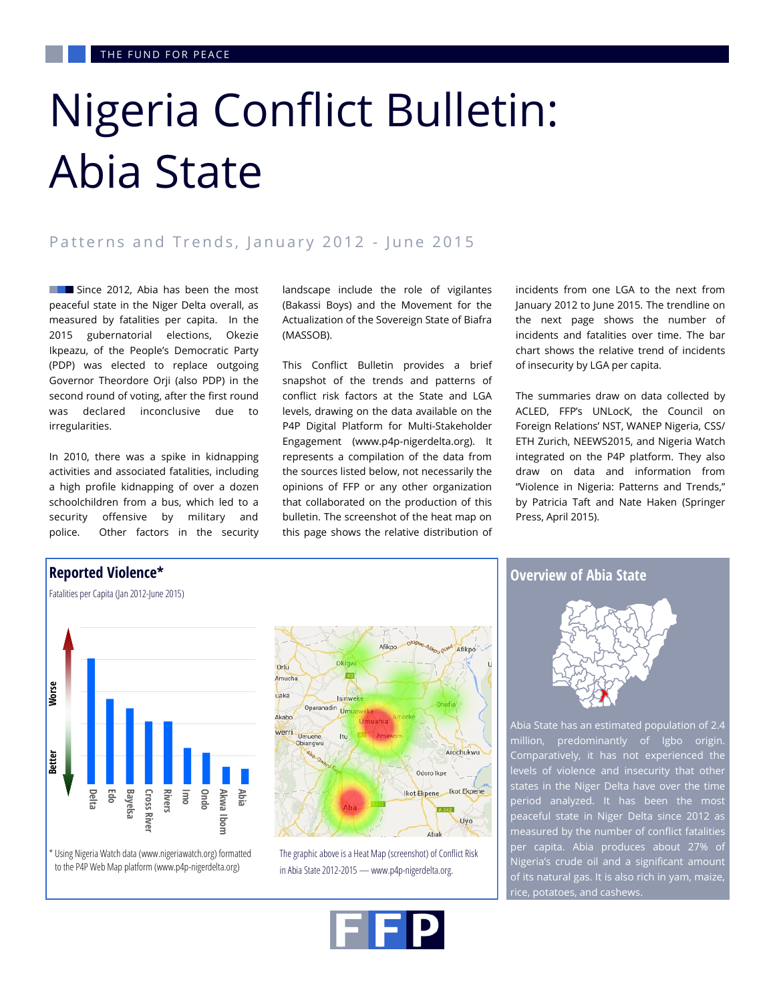# Nigeria Conflict Bulletin: Abia State

## Patterns and Trends, January 2012 - June 2015

Since 2012, Abia has been the most peaceful state in the Niger Delta overall, as measured by fatalities per capita. In the 2015 gubernatorial elections, Okezie Ikpeazu, of the People's Democratic Party (PDP) was elected to replace outgoing Governor Theordore Orji (also PDP) in the second round of voting, after the first round was declared inconclusive due to irregularities.

In 2010, there was a spike in kidnapping activities and associated fatalities, including a high profile kidnapping of over a dozen schoolchildren from a bus, which led to a security offensive by military and police. Other factors in the security landscape include the role of vigilantes (Bakassi Boys) and the Movement for the Actualization of the Sovereign State of Biafra (MASSOB).

This Conflict Bulletin provides a brief snapshot of the trends and patterns of conflict risk factors at the State and LGA levels, drawing on the data available on the P4P Digital Platform for Multi-Stakeholder Engagement (www.p4p-nigerdelta.org). It represents a compilation of the data from the sources listed below, not necessarily the opinions of FFP or any other organization that collaborated on the production of this bulletin. The screenshot of the heat map on this page shows the relative distribution of

Afikpo

Arochukwu

Ikot Ekpen

Uyo

Odoro Ikpe

incidents from one LGA to the next from January 2012 to June 2015. The trendline on the next page shows the number of incidents and fatalities over time. The bar chart shows the relative trend of incidents of insecurity by LGA per capita.

The summaries draw on data collected by ACLED, FFP's UNLocK, the Council on Foreign Relations' NST, WANEP Nigeria, CSS/ ETH Zurich, NEEWS2015, and Nigeria Watch integrated on the P4P platform. They also draw on data and information from "Violence in Nigeria: Patterns and Trends," by Patricia Taft and Nate Haken (Springer Press, April 2015).



Using Nigeria Watch data (www.nigeriawatch.org) formatted

The graphic above is a Heat Map (screenshot) of Conflict Risk in Abia State 2012-2015 — www.p4p-nigerdelta.org.

## **Overview of Abia State**



Abia State has an estimated population of 2.4 million, predominantly of Igbo origin. Comparatively, it has not experienced the levels of violence and insecurity that other states in the Niger Delta have over the time period analyzed. It has been the most peaceful state in Niger Delta since 2012 as measured by the number of conflict fatalities per capita. Abia produces about 27% of Nigeria's crude oil and a significant amount of its natural gas. It is also rich in yam, maize, rice, potatoes, and cashews.

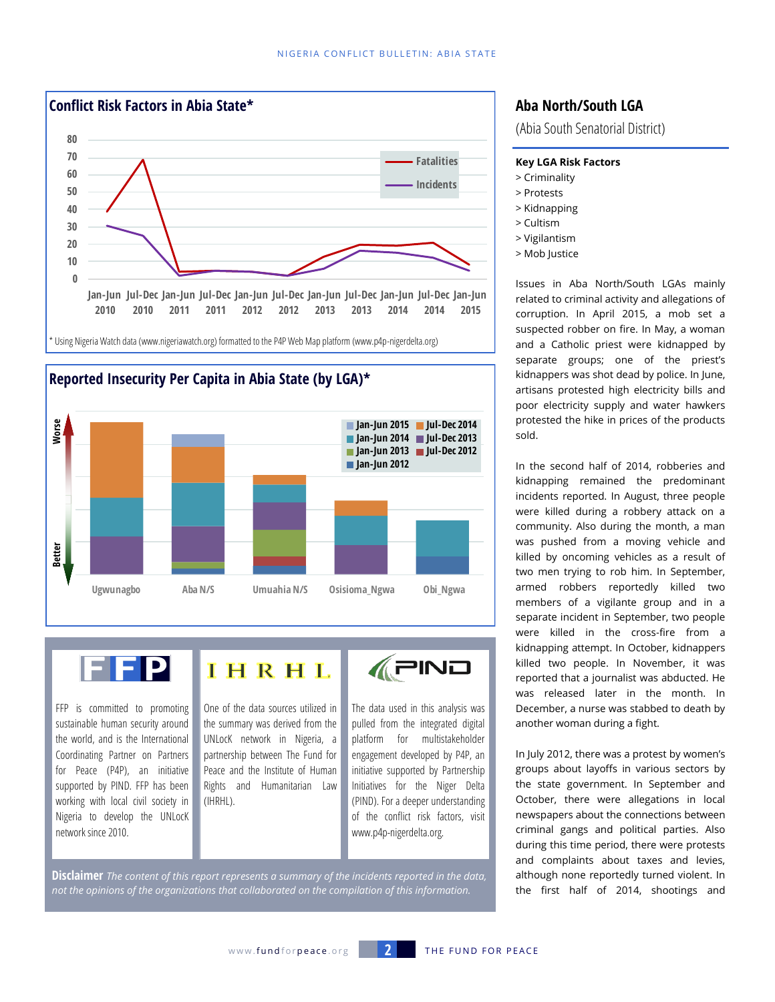





FFP is committed to promoting sustainable human security around the world, and is the International Coordinating Partner on Partners for Peace (P4P), an initiative supported by PIND. FFP has been working with local civil society in Nigeria to develop the UNLocK network since 2010.

IHRHL

One of the data sources utilized in the summary was derived from the UNLocK network in Nigeria, a partnership between The Fund for Peace and the Institute of Human Rights and Humanitarian Law

**APINO** 

The data used in this analysis was pulled from the integrated digital platform for multistakeholder engagement developed by P4P, an initiative supported by Partnership Initiatives for the Niger Delta (PIND). For a deeper understanding of the conflict risk factors, visit www.p4p-nigerdelta.org.

**Disclaimer** *The content of this report represents a summary of the incidents reported in the data, not the opinions of the organizations that collaborated on the compilation of this information.*

(IHRHL).

# **Aba North/South LGA**

(Abia South Senatorial District)

#### **Key LGA Risk Factors**

- > Criminality
- > Protests
- > Kidnapping
- > Cultism
- > Vigilantism
- > Mob Justice

Issues in Aba North/South LGAs mainly related to criminal activity and allegations of corruption. In April 2015, a mob set a suspected robber on fire. In May, a woman and a Catholic priest were kidnapped by separate groups; one of the priest's kidnappers was shot dead by police. In June, artisans protested high electricity bills and poor electricity supply and water hawkers protested the hike in prices of the products sold.

In the second half of 2014, robberies and kidnapping remained the predominant incidents reported. In August, three people were killed during a robbery attack on a community. Also during the month, a man was pushed from a moving vehicle and killed by oncoming vehicles as a result of two men trying to rob him. In September, armed robbers reportedly killed two members of a vigilante group and in a separate incident in September, two people were killed in the cross-fire from a kidnapping attempt. In October, kidnappers killed two people. In November, it was reported that a journalist was abducted. He was released later in the month. In December, a nurse was stabbed to death by another woman during a fight.

In July 2012, there was a protest by women's groups about layoffs in various sectors by the state government. In September and October, there were allegations in local newspapers about the connections between criminal gangs and political parties. Also during this time period, there were protests and complaints about taxes and levies, although none reportedly turned violent. In the first half of 2014, shootings and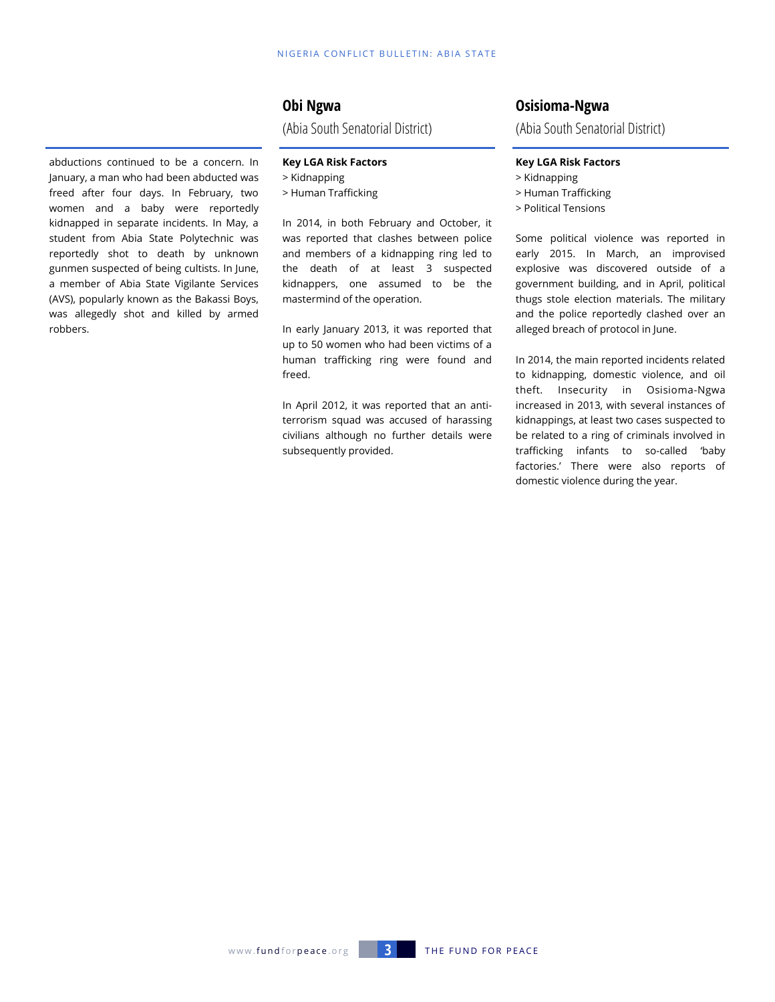# **Obi Ngwa**

(Abia South Senatorial District)

#### **Key LGA Risk Factors**

> Kidnapping

> Human Trafficking

In 2014, in both February and October, it was reported that clashes between police and members of a kidnapping ring led to the death of at least 3 suspected kidnappers, one assumed to be the mastermind of the operation.

In early January 2013, it was reported that up to 50 women who had been victims of a human trafficking ring were found and freed.

In April 2012, it was reported that an antiterrorism squad was accused of harassing civilians although no further details were subsequently provided.

# **Osisioma-Ngwa**

(Abia South Senatorial District)

#### **Key LGA Risk Factors**

- > Kidnapping
- > Human Trafficking
- > Political Tensions

Some political violence was reported in early 2015. In March, an improvised explosive was discovered outside of a government building, and in April, political thugs stole election materials. The military and the police reportedly clashed over an alleged breach of protocol in June.

In 2014, the main reported incidents related to kidnapping, domestic violence, and oil theft. Insecurity in Osisioma-Ngwa increased in 2013, with several instances of kidnappings, at least two cases suspected to be related to a ring of criminals involved in trafficking infants to so-called 'baby factories.' There were also reports of domestic violence during the year.

abductions continued to be a concern. In January, a man who had been abducted was freed after four days. In February, two women and a baby were reportedly kidnapped in separate incidents. In May, a student from Abia State Polytechnic was reportedly shot to death by unknown gunmen suspected of being cultists. In June, a member of Abia State Vigilante Services (AVS), popularly known as the Bakassi Boys, was allegedly shot and killed by armed robbers.